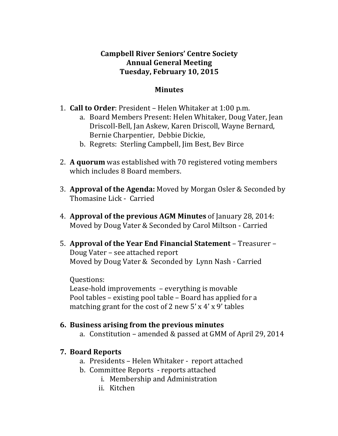### **Campbell River Seniors' Centre Society Annual General Meeting Tuesday, February 10, 2015**

#### **Minutes**

- **1. Call to Order**: President Helen Whitaker at 1:00 p.m.
	- a. Board Members Present: Helen Whitaker, Doug Vater, Jean Driscoll-Bell, Jan Askew, Karen Driscoll, Wayne Bernard, Bernie Charpentier, Debbie Dickie,
	- b. Regrets: Sterling Campbell, Jim Best, Bev Birce
- 2. **A quorum** was established with 70 registered voting members which includes 8 Board members.
- 3. **Approval of the Agenda:** Moved by Morgan Osler & Seconded by Thomasine Lick - Carried
- 4. **Approval of the previous AGM Minutes** of January 28, 2014: Moved by Doug Vater & Seconded by Carol Miltson - Carried
- 5. **Approval of the Year End Financial Statement** Treasurer Doug Vater – see attached report Moved by Doug Vater & Seconded by Lynn Nash - Carried

Questions: Lease-hold improvements  $-$  everything is movable Pool tables – existing pool table – Board has applied for a matching grant for the cost of 2 new 5' x 4' x 9' tables

#### **6. Business arising from the previous minutes**

a. Constitution – amended & passed at GMM of April 29, 2014

### **7. Board Reports**

- a. Presidents Helen Whitaker report attached
- b. Committee Reports reports attached
	- i. Membership and Administration
	- ii. Kitchen